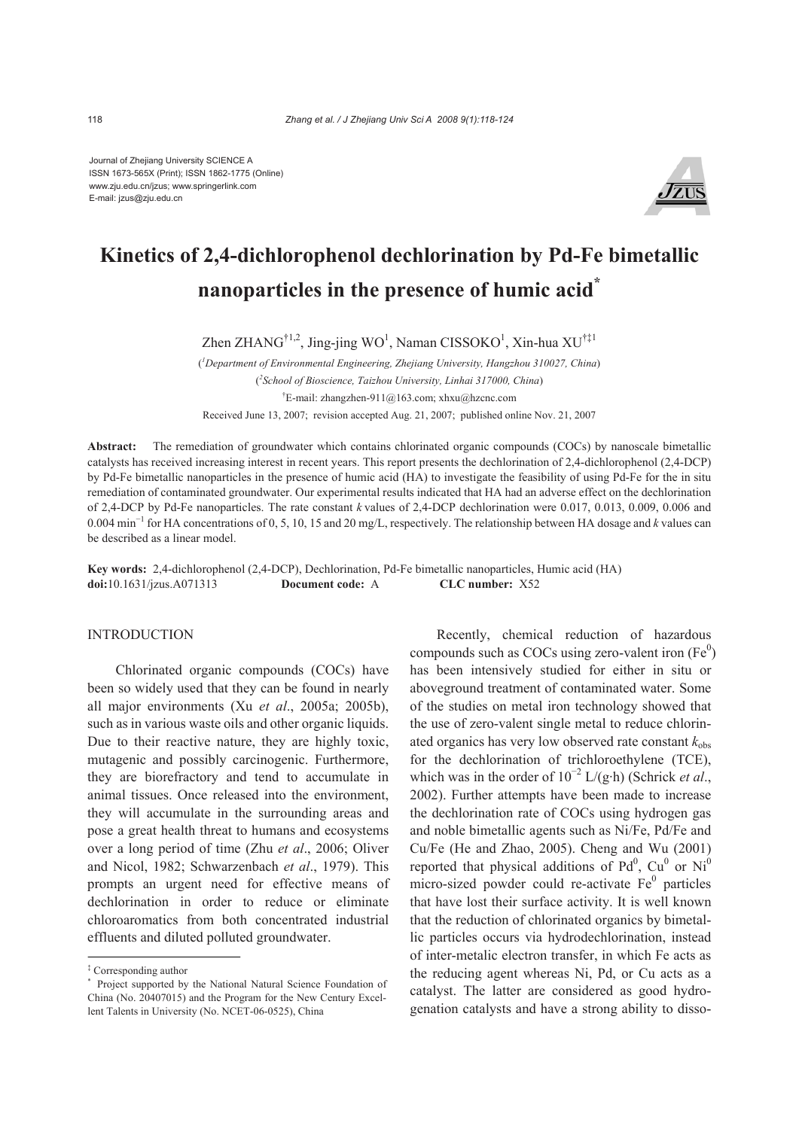Journal of Zhejiang University SCIENCE A ISSN 1673-565X (Print); ISSN 1862-1775 (Online) www.zju.edu.cn/jzus; www.springerlink.com E-mail: jzus@zju.edu.cn



# **Kinetics of 2,4-dichlorophenol dechlorination by Pd-Fe bimetallic nanoparticles in the presence of humic acid\***

Zhen ZHANG<sup>†1,2</sup>, Jing-jing WO<sup>1</sup>, Naman CISSOKO<sup>1</sup>, Xin-hua XU<sup>†‡1</sup>

( *1 Department of Environmental Engineering, Zhejiang University, Hangzhou 310027, China*) ( *2 School of Bioscience, Taizhou University, Linhai 317000, China*) † E-mail: zhangzhen-911@163.com; xhxu@hzcnc.com Received June 13, 2007; revision accepted Aug. 21, 2007; published online Nov. 21, 2007

**Abstract:** The remediation of groundwater which contains chlorinated organic compounds (COCs) by nanoscale bimetallic catalysts has received increasing interest in recent years. This report presents the dechlorination of 2,4-dichlorophenol (2,4-DCP) by Pd-Fe bimetallic nanoparticles in the presence of humic acid (HA) to investigate the feasibility of using Pd-Fe for the in situ remediation of contaminated groundwater. Our experimental results indicated that HA had an adverse effect on the dechlorination of 2,4-DCP by Pd-Fe nanoparticles. The rate constant *k* values of 2,4-DCP dechlorination were 0.017, 0.013, 0.009, 0.006 and 0.004 min<sup>−</sup><sup>1</sup> for HA concentrations of 0, 5, 10, 15 and 20 mg/L, respectively. The relationship between HA dosage and *k* values can be described as a linear model.

**Key words:** 2,4-dichlorophenol (2,4-DCP), Dechlorination, Pd-Fe bimetallic nanoparticles, Humic acid (HA) **doi:**10.1631/jzus.A071313 **Document code:** A **CLC number:** X52

## INTRODUCTION

Chlorinated organic compounds (COCs) have been so widely used that they can be found in nearly all major environments (Xu *et al*., 2005a; 2005b), such as in various waste oils and other organic liquids. Due to their reactive nature, they are highly toxic, mutagenic and possibly carcinogenic. Furthermore, they are biorefractory and tend to accumulate in animal tissues. Once released into the environment, they will accumulate in the surrounding areas and pose a great health threat to humans and ecosystems over a long period of time (Zhu *et al*., 2006; Oliver and Nicol, 1982; Schwarzenbach *et al*., 1979). This prompts an urgent need for effective means of dechlorination in order to reduce or eliminate chloroaromatics from both concentrated industrial effluents and diluted polluted groundwater.

Recently, chemical reduction of hazardous compounds such as COCs using zero-valent iron  $(Fe<sup>0</sup>)$ has been intensively studied for either in situ or aboveground treatment of contaminated water. Some of the studies on metal iron technology showed that the use of zero-valent single metal to reduce chlorinated organics has very low observed rate constant  $k_{obs}$ for the dechlorination of trichloroethylene (TCE), which was in the order of  $10^{-2}$  L/(g·h) (Schrick *et al.*, 2002). Further attempts have been made to increase the dechlorination rate of COCs using hydrogen gas and noble bimetallic agents such as Ni/Fe, Pd/Fe and Cu/Fe (He and Zhao, 2005). Cheng and Wu (2001) reported that physical additions of  $Pd^0$ ,  $Cu^0$  or  $Ni^0$ micro-sized powder could re-activate  $Fe<sup>0</sup>$  particles that have lost their surface activity. It is well known that the reduction of chlorinated organics by bimetallic particles occurs via hydrodechlorination, instead of inter-metalic electron transfer, in which Fe acts as the reducing agent whereas Ni, Pd, or Cu acts as a catalyst. The latter are considered as good hydrogenation catalysts and have a strong ability to disso-

<sup>&</sup>lt;sup>‡</sup> Corresponding author

Project supported by the National Natural Science Foundation of China (No. 20407015) and the Program for the New Century Excellent Talents in University (No. NCET-06-0525), China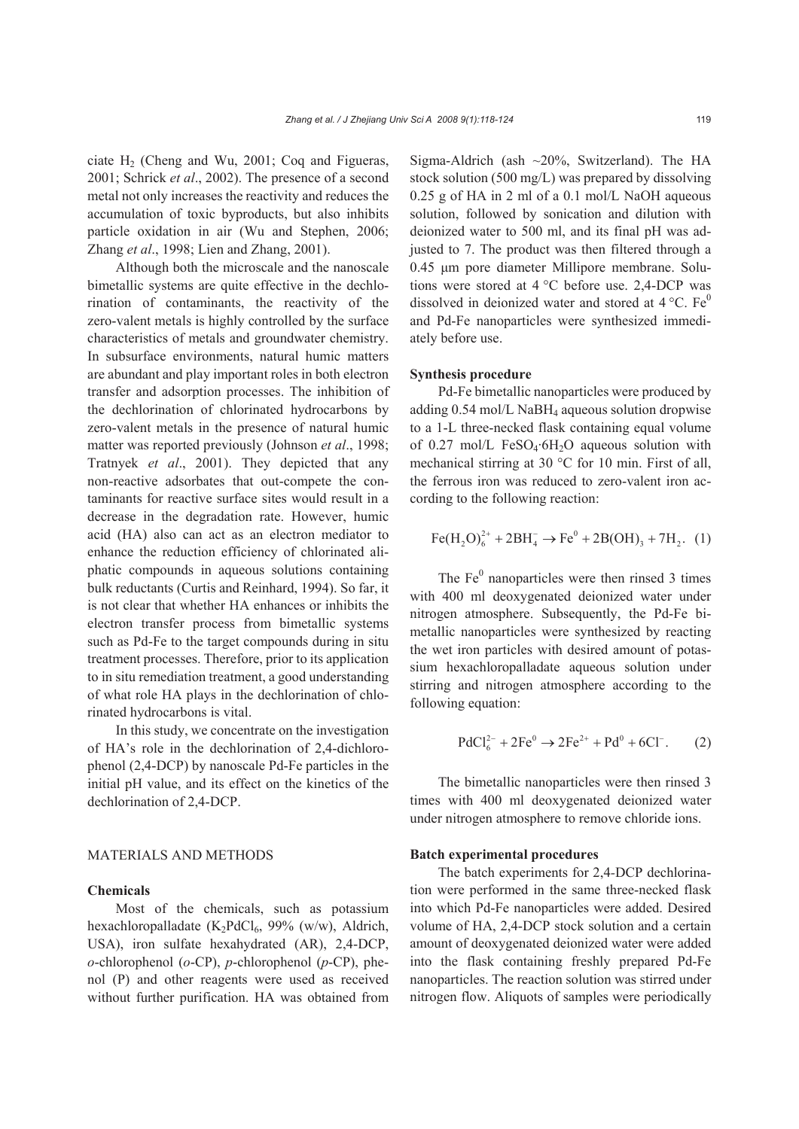ciate  $H_2$  (Cheng and Wu, 2001; Coq and Figueras, 2001; Schrick *et al*., 2002). The presence of a second metal not only increases the reactivity and reduces the accumulation of toxic byproducts, but also inhibits particle oxidation in air (Wu and Stephen, 2006; Zhang *et al*., 1998; Lien and Zhang, 2001).

Although both the microscale and the nanoscale bimetallic systems are quite effective in the dechlorination of contaminants, the reactivity of the zero-valent metals is highly controlled by the surface characteristics of metals and groundwater chemistry. In subsurface environments, natural humic matters are abundant and play important roles in both electron transfer and adsorption processes. The inhibition of the dechlorination of chlorinated hydrocarbons by zero-valent metals in the presence of natural humic matter was reported previously (Johnson *et al*., 1998; Tratnyek *et al*., 2001). They depicted that any non-reactive adsorbates that out-compete the contaminants for reactive surface sites would result in a decrease in the degradation rate. However, humic acid (HA) also can act as an electron mediator to enhance the reduction efficiency of chlorinated aliphatic compounds in aqueous solutions containing bulk reductants (Curtis and Reinhard, 1994). So far, it is not clear that whether HA enhances or inhibits the electron transfer process from bimetallic systems such as Pd-Fe to the target compounds during in situ treatment processes. Therefore, prior to its application to in situ remediation treatment, a good understanding of what role HA plays in the dechlorination of chlorinated hydrocarbons is vital.

In this study, we concentrate on the investigation of HA's role in the dechlorination of 2,4-dichlorophenol (2,4-DCP) by nanoscale Pd-Fe particles in the initial pH value, and its effect on the kinetics of the dechlorination of 2,4-DCP.

# MATERIALS AND METHODS

#### **Chemicals**

Most of the chemicals, such as potassium hexachloropalladate (K<sub>2</sub>PdCl<sub>6</sub>, 99% (w/w), Aldrich, USA), iron sulfate hexahydrated (AR), 2,4-DCP, *o*-chlorophenol (*o*-CP), *p*-chlorophenol (*p*-CP), phenol (P) and other reagents were used as received without further purification. HA was obtained from Sigma-Aldrich (ash  $\sim$ 20%, Switzerland). The HA stock solution (500 mg/L) was prepared by dissolving 0.25 g of HA in 2 ml of a 0.1 mol/L NaOH aqueous solution, followed by sonication and dilution with deionized water to 500 ml, and its final pH was adjusted to 7. The product was then filtered through a 0.45 μm pore diameter Millipore membrane. Solutions were stored at 4 °C before use. 2,4-DCP was dissolved in deionized water and stored at  $4^{\circ}$ C. Fe<sup>0</sup> and Pd-Fe nanoparticles were synthesized immediately before use.

#### **Synthesis procedure**

Pd-Fe bimetallic nanoparticles were produced by adding 0.54 mol/L NaBH4 aqueous solution dropwise to a 1-L three-necked flask containing equal volume of 0.27 mol/L  $FeSO_4·6H_2O$  aqueous solution with mechanical stirring at 30 °C for 10 min. First of all, the ferrous iron was reduced to zero-valent iron according to the following reaction:

$$
\text{Fe}(H_2O_6^{2+} + 2BH_4^- \to \text{Fe}^0 + 2B(OH)_3 + 7H_2. (1)
$$

The  $Fe<sup>0</sup>$  nanoparticles were then rinsed 3 times with 400 ml deoxygenated deionized water under nitrogen atmosphere. Subsequently, the Pd-Fe bimetallic nanoparticles were synthesized by reacting the wet iron particles with desired amount of potassium hexachloropalladate aqueous solution under stirring and nitrogen atmosphere according to the following equation:

$$
PdCl_6^{2-} + 2Fe^0 \to 2Fe^{2+} + Pd^0 + 6Cl^-.
$$
 (2)

The bimetallic nanoparticles were then rinsed 3 times with 400 ml deoxygenated deionized water under nitrogen atmosphere to remove chloride ions.

#### **Batch experimental procedures**

The batch experiments for 2,4*-*DCP dechlorination were performed in the same three-necked flask into which Pd-Fe nanoparticles were added. Desired volume of HA, 2,4-DCP stock solution and a certain amount of deoxygenated deionized water were added into the flask containing freshly prepared Pd-Fe nanoparticles. The reaction solution was stirred under nitrogen flow. Aliquots of samples were periodically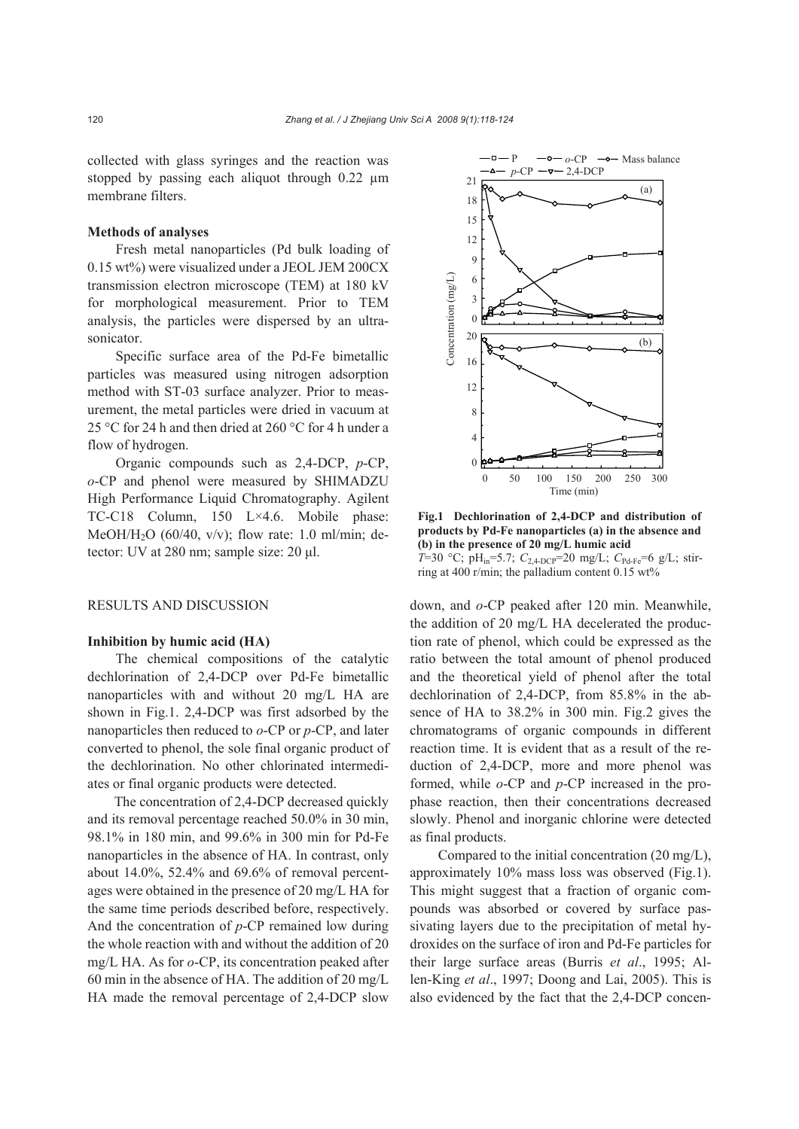collected with glass syringes and the reaction was stopped by passing each aliquot through 0.22  $\mu$ m membrane filters.

# **Methods of analyses**

Fresh metal nanoparticles (Pd bulk loading of 0.15 wt%) were visualized under a JEOL JEM 200CX transmission electron microscope (TEM) at 180 kV for morphological measurement. Prior to TEM analysis, the particles were dispersed by an ultrasonicator.

Specific surface area of the Pd-Fe bimetallic particles was measured using nitrogen adsorption method with ST-03 surface analyzer. Prior to measurement, the metal particles were dried in vacuum at 25 °C for 24 h and then dried at 260 °C for 4 h under a flow of hydrogen.

Organic compounds such as 2,4-DCP, *p*-CP, *o*-CP and phenol were measured by SHIMADZU High Performance Liquid Chromatography. Agilent TC-C18 Column, 150 L×4.6. Mobile phase: MeOH/H<sub>2</sub>O (60/40, v/v); flow rate: 1.0 ml/min; detector: UV at 280 nm; sample size: 20 μl.

#### RESULTS AND DISCUSSION

#### **Inhibition by humic acid (HA)**

The chemical compositions of the catalytic dechlorination of 2,4-DCP over Pd-Fe bimetallic nanoparticles with and without 20 mg/L HA are shown in Fig.1. 2,4-DCP was first adsorbed by the nanoparticles then reduced to *o*-CP or *p*-CP, and later converted to phenol, the sole final organic product of the dechlorination. No other chlorinated intermediates or final organic products were detected.

The concentration of 2,4-DCP decreased quickly and its removal percentage reached 50.0% in 30 min, 98.1% in 180 min, and 99.6% in 300 min for Pd-Fe nanoparticles in the absence of HA. In contrast, only about 14.0%, 52.4% and 69.6% of removal percentages were obtained in the presence of 20 mg/L HA for the same time periods described before, respectively. And the concentration of *p*-CP remained low during the whole reaction with and without the addition of 20 mg/L HA. As for *o*-CP, its concentration peaked after 60 min in the absence of HA. The addition of 20 mg/L HA made the removal percentage of 2,4-DCP slow



**Fig.1 Dechlorination of 2,4-DCP and distribution of products by Pd-Fe nanoparticles (a) in the absence and (b) in the presence of 20 mg/L humic acid**  *T*=30 °C; pH<sub>in</sub>=5.7; *C*<sub>2,4</sub>-<sub>DCP</sub>=20 mg/L; *C*<sub>Pd-Fe</sub>=6 g/L; stir-

ring at 400 r/min; the palladium content 0.15 wt%

down, and *o*-CP peaked after 120 min. Meanwhile, the addition of 20 mg/L HA decelerated the production rate of phenol, which could be expressed as the ratio between the total amount of phenol produced and the theoretical yield of phenol after the total dechlorination of 2,4-DCP, from 85.8% in the absence of HA to 38.2% in 300 min. Fig.2 gives the chromatograms of organic compounds in different reaction time. It is evident that as a result of the reduction of 2,4-DCP, more and more phenol was formed, while *o*-CP and *p*-CP increased in the prophase reaction, then their concentrations decreased slowly. Phenol and inorganic chlorine were detected as final products.

Compared to the initial concentration (20 mg/L), approximately 10% mass loss was observed (Fig.1). This might suggest that a fraction of organic compounds was absorbed or covered by surface passivating layers due to the precipitation of metal hydroxides on the surface of iron and Pd-Fe particles for their large surface areas (Burris *et al*., 1995; Allen-King *et al*., 1997; Doong and Lai, 2005). This is also evidenced by the fact that the 2,4-DCP concen-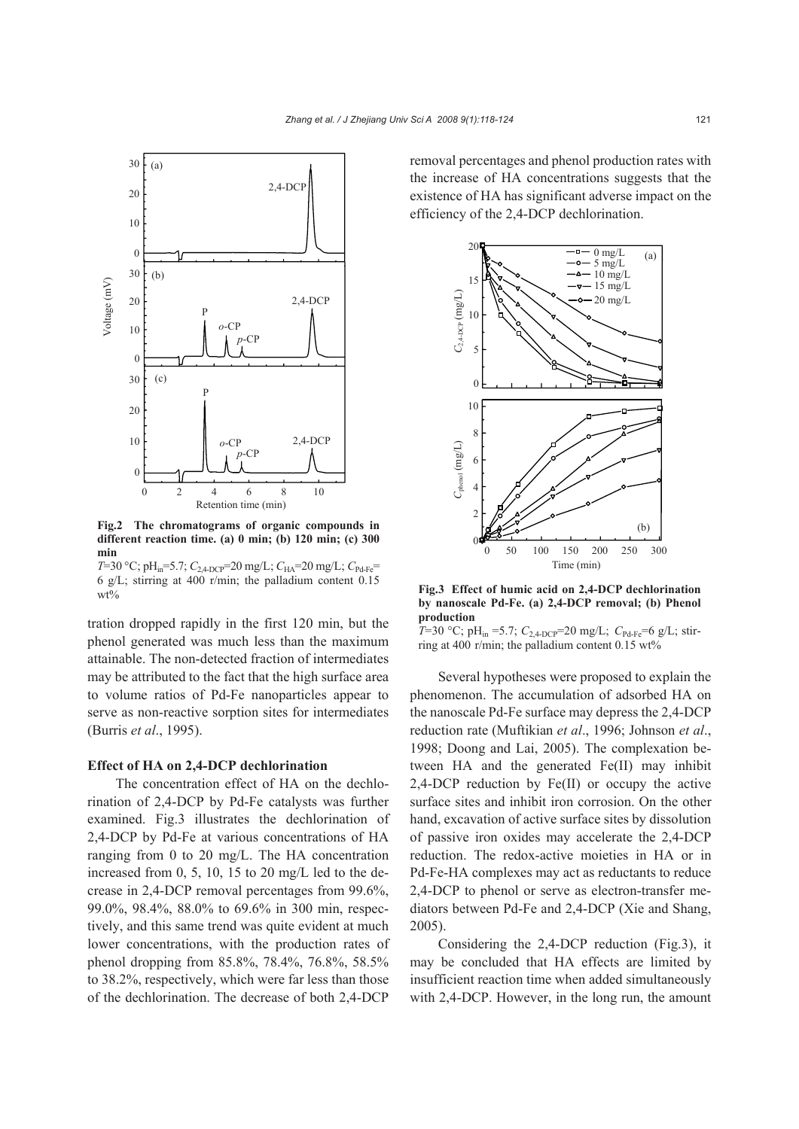

**Fig.2 The chromatograms of organic compounds in different reaction time. (a) 0 min; (b) 120 min; (c) 300 min** 

*T*=30 °C; pH<sub>in</sub>=5.7;  $C_{2,4-DCP}$ =20 mg/L;  $C_{HA}$ =20 mg/L;  $C_{Pd-Fe}$ = 6 g/L; stirring at 400 r/min; the palladium content 0.15  $wt\%$ 

tration dropped rapidly in the first 120 min, but the phenol generated was much less than the maximum attainable. The non-detected fraction of intermediates may be attributed to the fact that the high surface area to volume ratios of Pd-Fe nanoparticles appear to serve as non-reactive sorption sites for intermediates (Burris *et al*., 1995).

## **Effect of HA on 2,4***-***DCP dechlorination**

The concentration effect of HA on the dechlorination of 2,4-DCP by Pd-Fe catalysts was further examined. Fig.3 illustrates the dechlorination of 2,4-DCP by Pd-Fe at various concentrations of HA ranging from 0 to 20 mg/L. The HA concentration increased from 0, 5, 10, 15 to 20 mg/L led to the decrease in 2,4-DCP removal percentages from 99.6%, 99.0%, 98.4%, 88.0% to 69.6% in 300 min, respectively, and this same trend was quite evident at much lower concentrations, with the production rates of phenol dropping from 85.8%, 78.4%, 76.8%, 58.5% to 38.2%, respectively, which were far less than those of the dechlorination. The decrease of both 2,4-DCP removal percentages and phenol production rates with the increase of HA concentrations suggests that the existence of HA has significant adverse impact on the efficiency of the 2,4-DCP dechlorination.



**Fig.3 Effect of humic acid on 2,4-DCP dechlorination by nanoscale Pd-Fe. (a) 2,4-DCP removal; (b) Phenol production** 

*T*=30 °C; pH<sub>in</sub> =5.7;  $C_{2,4-DCP}$ =20 mg/L;  $C_{Pd-Fe}$ =6 g/L; stirring at 400 r/min; the palladium content  $0.15 \text{ wt\%}$ 

Several hypotheses were proposed to explain the phenomenon. The accumulation of adsorbed HA on the nanoscale Pd-Fe surface may depress the 2,4-DCP reduction rate (Muftikian *et al*., 1996; Johnson *et al*., 1998; Doong and Lai, 2005). The complexation between HA and the generated Fe(II) may inhibit 2,4-DCP reduction by Fe(II) or occupy the active surface sites and inhibit iron corrosion. On the other hand, excavation of active surface sites by dissolution of passive iron oxides may accelerate the 2,4-DCP reduction. The redox-active moieties in HA or in Pd-Fe-HA complexes may act as reductants to reduce 2,4-DCP to phenol or serve as electron-transfer mediators between Pd-Fe and 2,4-DCP (Xie and Shang, 2005).

Considering the 2,4-DCP reduction (Fig.3), it may be concluded that HA effects are limited by insufficient reaction time when added simultaneously with 2,4-DCP. However, in the long run, the amount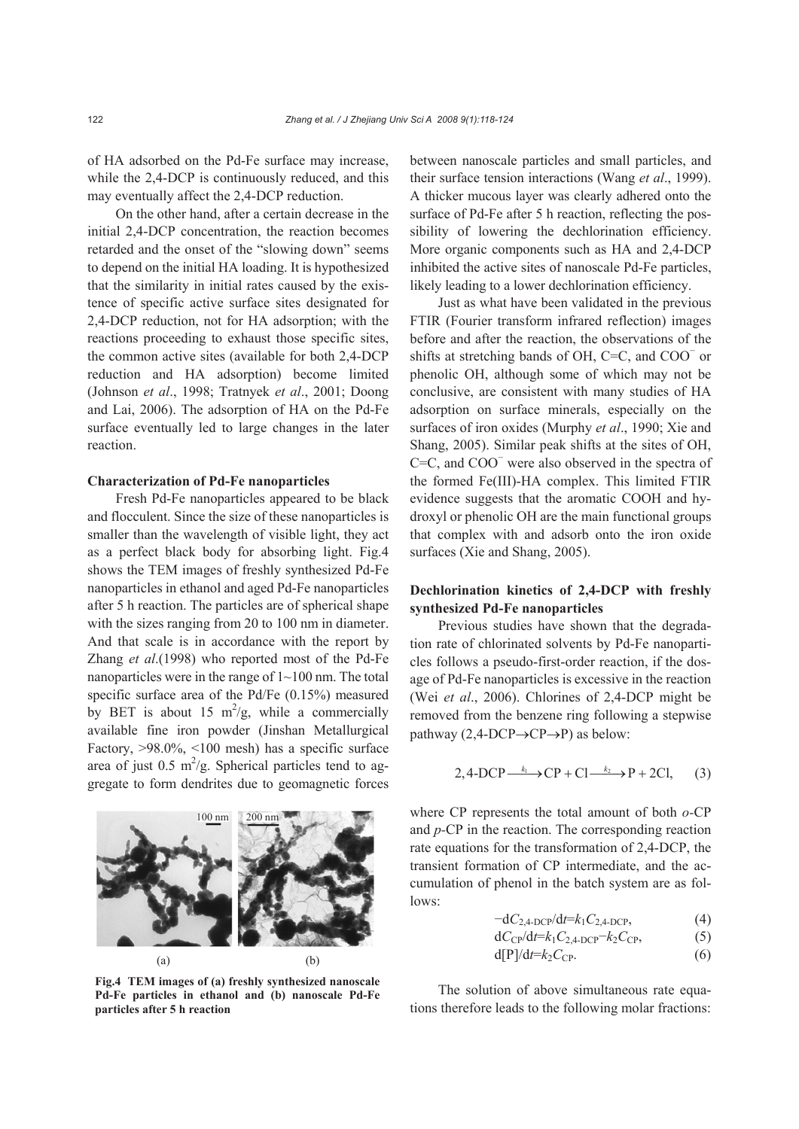of HA adsorbed on the Pd-Fe surface may increase, while the 2,4-DCP is continuously reduced, and this may eventually affect the 2,4-DCP reduction.

On the other hand, after a certain decrease in the initial 2,4-DCP concentration, the reaction becomes retarded and the onset of the "slowing down" seems to depend on the initial HA loading. It is hypothesized that the similarity in initial rates caused by the existence of specific active surface sites designated for 2,4-DCP reduction, not for HA adsorption; with the reactions proceeding to exhaust those specific sites, the common active sites (available for both 2,4-DCP reduction and HA adsorption) become limited (Johnson *et al*., 1998; Tratnyek *et al*., 2001; Doong and Lai, 2006). The adsorption of HA on the Pd-Fe surface eventually led to large changes in the later reaction.

#### **Characterization of Pd-Fe nanoparticles**

Fresh Pd-Fe nanoparticles appeared to be black and flocculent. Since the size of these nanoparticles is smaller than the wavelength of visible light, they act as a perfect black body for absorbing light. Fig.4 shows the TEM images of freshly synthesized Pd-Fe nanoparticles in ethanol and aged Pd-Fe nanoparticles after 5 h reaction. The particles are of spherical shape with the sizes ranging from 20 to 100 nm in diameter. And that scale is in accordance with the report by Zhang *et al*.(1998) who reported most of the Pd-Fe nanoparticles were in the range of  $1 \sim 100$  nm. The total specific surface area of the Pd/Fe (0.15%) measured by BET is about 15  $m^2/g$ , while a commercially available fine iron powder (Jinshan Metallurgical Factory, >98.0%, <100 mesh) has a specific surface area of just 0.5  $m^2/g$ . Spherical particles tend to aggregate to form dendrites due to geomagnetic forces

# $(a)$  (b) 100 nm 200 nm

**Fig.4 TEM images of (a) freshly synthesized nanoscale Pd-Fe particles in ethanol and (b) nanoscale Pd-Fe particles after 5 h reaction** 

between nanoscale particles and small particles, and their surface tension interactions (Wang *et al*., 1999). A thicker mucous layer was clearly adhered onto the surface of Pd-Fe after 5 h reaction, reflecting the possibility of lowering the dechlorination efficiency. More organic components such as HA and 2,4-DCP inhibited the active sites of nanoscale Pd-Fe particles, likely leading to a lower dechlorination efficiency.

Just as what have been validated in the previous FTIR (Fourier transform infrared reflection) images before and after the reaction, the observations of the shifts at stretching bands of OH, C=C, and COO<sup>−</sup> or phenolic OH, although some of which may not be conclusive, are consistent with many studies of HA adsorption on surface minerals, especially on the surfaces of iron oxides (Murphy *et al*., 1990; Xie and Shang, 2005). Similar peak shifts at the sites of OH, C=C, and COO<sup>−</sup> were also observed in the spectra of the formed Fe(III)-HA complex. This limited FTIR evidence suggests that the aromatic COOH and hydroxyl or phenolic OH are the main functional groups that complex with and adsorb onto the iron oxide surfaces (Xie and Shang, 2005).

# **Dechlorination kinetics of 2,4-DCP with freshly synthesized Pd-Fe nanoparticles**

Previous studies have shown that the degradation rate of chlorinated solvents by Pd-Fe nanoparticles follows a pseudo-first-order reaction, if the dosage of Pd-Fe nanoparticles is excessive in the reaction (Wei *et al*., 2006). Chlorines of 2,4-DCP might be removed from the benzene ring following a stepwise pathway (2,4-DCP→CP→P) as below:

$$
2,4-DCP \xrightarrow{k_1} CP + Cl \xrightarrow{k_2} P + 2Cl, \qquad (3)
$$

where CP represents the total amount of both *o-*CP and *p-*CP in the reaction. The corresponding reaction rate equations for the transformation of 2,4-DCP, the transient formation of CP intermediate, and the accumulation of phenol in the batch system are as follows:

$$
-dC_{2,4-DCP}/dt = k_1 C_{2,4-DCP}, \t\t(4)
$$

$$
dC_{CP}/dt = k_1 C_{2,4-DCP} - k_2 C_{CP}, \qquad (5)
$$

$$
d[P]/dt = k_2 C_{CP}.\tag{6}
$$

The solution of above simultaneous rate equations therefore leads to the following molar fractions:

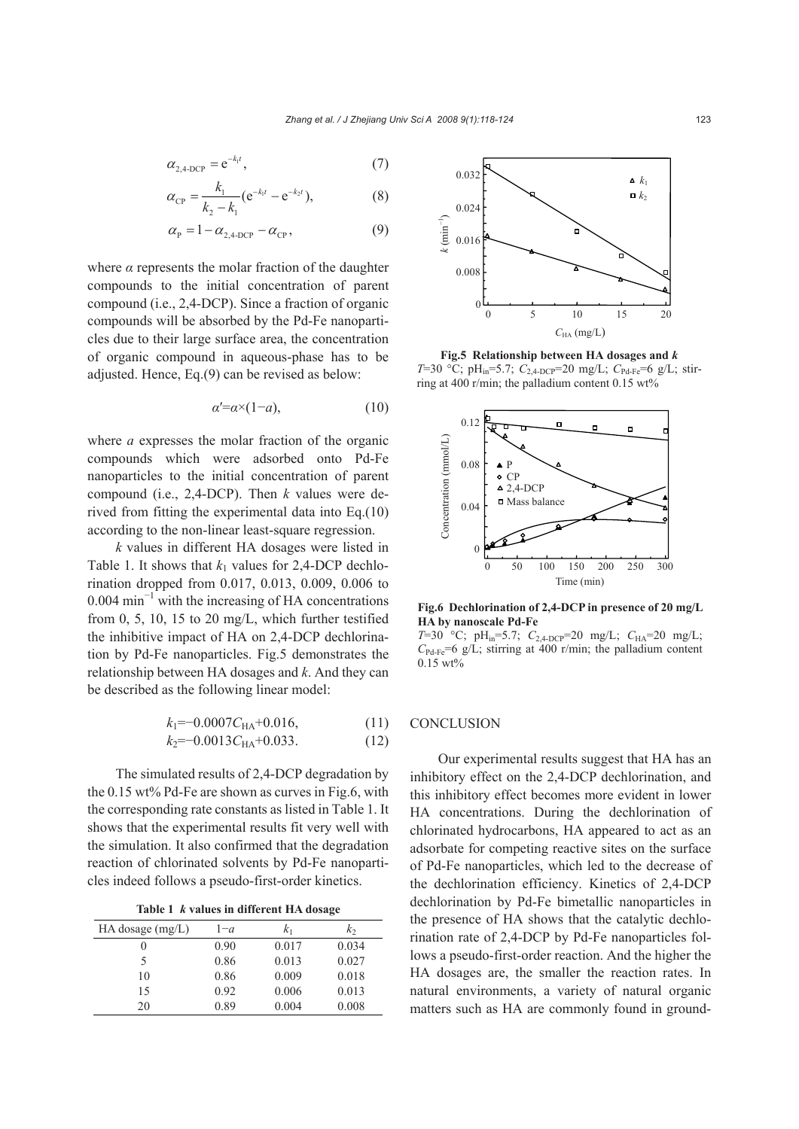$$
\alpha_{2,4\text{-DCP}} = e^{-k_1 t},\tag{7}
$$

$$
\alpha_{\rm CP} = \frac{k_1}{k_2 - k_1} (e^{-k_1 t} - e^{-k_2 t}),\tag{8}
$$

$$
\alpha_{\rm p} = 1 - \alpha_{2,4\text{-DCP}} - \alpha_{\rm CP},\tag{9}
$$

where  $\alpha$  represents the molar fraction of the daughter compounds to the initial concentration of parent compound (i.e., 2,4-DCP). Since a fraction of organic compounds will be absorbed by the Pd-Fe nanoparticles due to their large surface area, the concentration of organic compound in aqueous-phase has to be adjusted. Hence, Eq.(9) can be revised as below:

$$
\alpha' = \alpha \times (1 - a), \tag{10}
$$

where *a* expresses the molar fraction of the organic compounds which were adsorbed onto Pd-Fe nanoparticles to the initial concentration of parent compound (i.e., 2,4-DCP). Then *k* values were derived from fitting the experimental data into Eq.(10) according to the non-linear least-square regression.

*k* values in different HA dosages were listed in Table 1. It shows that  $k_1$  values for 2,4-DCP dechlorination dropped from 0.017, 0.013, 0.009, 0.006 to 0.004 min<sup>−</sup><sup>1</sup> with the increasing of HA concentrations from 0, 5, 10, 15 to 20 mg/L, which further testified the inhibitive impact of HA on 2,4-DCP dechlorination by Pd-Fe nanoparticles. Fig.5 demonstrates the relationship between HA dosages and *k*. And they can be described as the following linear model:

$$
k_1 = -0.0007 C_{HA} + 0.016, \tag{11}
$$

$$
k_2 = -0.0013 C_{HA} + 0.033. \tag{12}
$$

The simulated results of 2,4-DCP degradation by the 0.15 wt% Pd-Fe are shown as curves in Fig.6, with the corresponding rate constants as listed in Table 1. It shows that the experimental results fit very well with the simulation. It also confirmed that the degradation reaction of chlorinated solvents by Pd-Fe nanoparticles indeed follows a pseudo-first-order kinetics.

**Table 1** *k* **values in different HA dosage** 

| $1-a$ | k1    | k <sub>2</sub> |
|-------|-------|----------------|
| 0.90  | 0.017 | 0.034          |
| 0.86  | 0.013 | 0.027          |
| 0.86  | 0.009 | 0.018          |
| 0.92  | 0.006 | 0.013          |
| 0.89  | 0.004 | 0.008          |
|       |       |                |



**Fig.5 Relationship between HA dosages and** *k T*=30 °C; pH<sub>in</sub>=5.7;  $C_{2,4-DCP}$ =20 mg/L;  $C_{\text{Pd-Fe}}$ =6 g/L; stirring at 400 r/min; the palladium content 0.15 wt%



**Fig.6 Dechlorination of 2,4-DCP in presence of 20 mg/L HA by nanoscale Pd-Fe**

*T*=30 °C; pH<sub>in</sub>=5.7;  $C_{2,4-DCP}$ =20 mg/L;  $C_{HA}$ =20 mg/L;  $C_{\text{Pd-Fe}}$ =6 g/L; stirring at 400 r/min; the palladium content 0.15 wt%

# **CONCLUSION**

Our experimental results suggest that HA has an inhibitory effect on the 2,4-DCP dechlorination, and this inhibitory effect becomes more evident in lower HA concentrations. During the dechlorination of chlorinated hydrocarbons, HA appeared to act as an adsorbate for competing reactive sites on the surface of Pd-Fe nanoparticles, which led to the decrease of the dechlorination efficiency. Kinetics of 2,4-DCP dechlorination by Pd-Fe bimetallic nanoparticles in the presence of HA shows that the catalytic dechlorination rate of 2,4-DCP by Pd-Fe nanoparticles follows a pseudo-first-order reaction. And the higher the HA dosages are, the smaller the reaction rates. In natural environments, a variety of natural organic matters such as HA are commonly found in ground